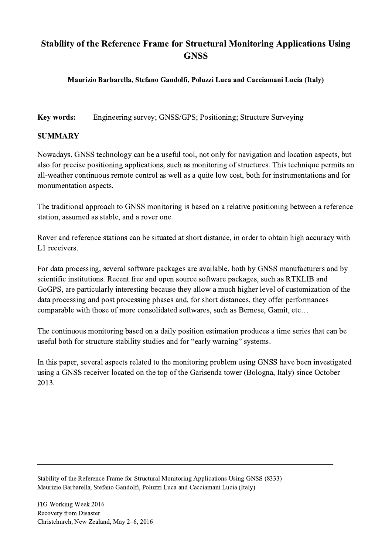## Stability of the Reference Frame for Structural Monitoring Applications Using **GNSS**

## Maurizio Barbarella, Stefano Gandolfi, Poluzzi Luca and Cacciamani Lucia (Italy)

Key words: Engineering survey; GNSS/GPS; Positioning; Structure Surveying

## SUMMARY

Nowadays, GNSS technology can be a useful tool, not only for navigation and location aspects, but also for precise positioning applications, such as monitoring of structures. This technique permits an all-weather continuous remote control as well as a quite low cost, both for instrumentations and for monumentation aspects.

The traditional approach to GNSS monitoring is based on a relative positioning between a reference station, assumed as stable, and a rover one.

Rover and reference stations can be situated at short distance, in order to obtain high accuracy with L1 receivers.

For data processing, several software packages are available, both by GNSS manufacturers and by scientific institutions. Recent free and open source software packages, such as RTKLIB and GoGPS, are particularly interesting because they allow a much higher level of customization of the data processing and post processing phases and, for short distances, they offer performances comparable with those of more consolidated softwares, such as Bernese, Gamit, etc…

The continuous monitoring based on a daily position estimation produces a time series that can be useful both for structure stability studies and for "early warning" systems.

In this paper, several aspects related to the monitoring problem using GNSS have been investigated using a GNSS receiver located on the top of the Garisenda tower (Bologna, Italy) since October 2013.

 $\mathcal{L}_\mathcal{L} = \{ \mathcal{L}_\mathcal{L} = \{ \mathcal{L}_\mathcal{L} = \{ \mathcal{L}_\mathcal{L} = \{ \mathcal{L}_\mathcal{L} = \{ \mathcal{L}_\mathcal{L} = \{ \mathcal{L}_\mathcal{L} = \{ \mathcal{L}_\mathcal{L} = \{ \mathcal{L}_\mathcal{L} = \{ \mathcal{L}_\mathcal{L} = \{ \mathcal{L}_\mathcal{L} = \{ \mathcal{L}_\mathcal{L} = \{ \mathcal{L}_\mathcal{L} = \{ \mathcal{L}_\mathcal{L} = \{ \mathcal{L}_\mathcal{$ 

Stability of the Reference Frame for Structural Monitoring Applications Using GNSS (8333) Maurizio Barbarella, Stefano Gandolfi, Poluzzi Luca and Cacciamani Lucia (Italy)

FIG Working Week 2016 Recovery from Disaster Christchurch, New Zealand, May 2–6, 2016